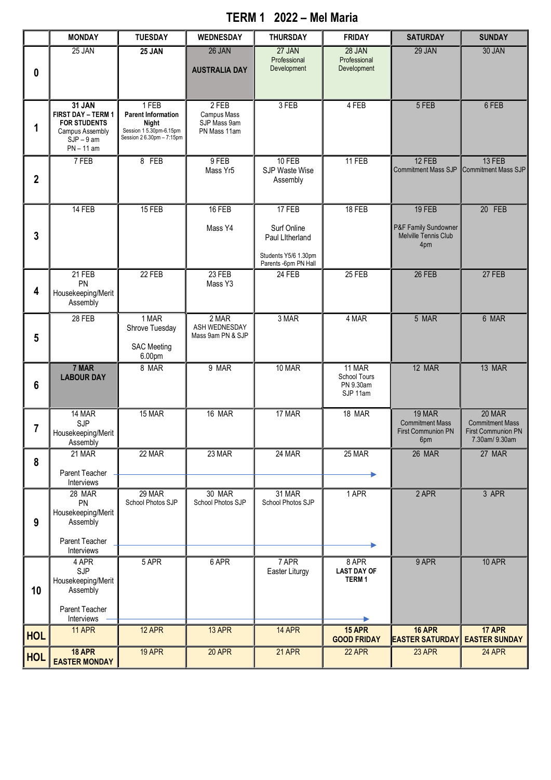## **TERM 1 2022 – Mel Maria**

|             | <b>MONDAY</b>                                                                                         | <b>TUESDAY</b>                                                                                     | <b>WEDNESDAY</b>                                       | <b>THURSDAY</b>                                                                          | <b>FRIDAY</b>                                   | <b>SATURDAY</b>                                                      | <b>SUNDAY</b>                                                                  |
|-------------|-------------------------------------------------------------------------------------------------------|----------------------------------------------------------------------------------------------------|--------------------------------------------------------|------------------------------------------------------------------------------------------|-------------------------------------------------|----------------------------------------------------------------------|--------------------------------------------------------------------------------|
| 0           | 25 JAN                                                                                                | 25 JAN                                                                                             | 26 JAN<br><b>AUSTRALIA DAY</b>                         | 27 JAN<br>Professional<br>Development                                                    | 28 JAN<br>Professional<br>Development           | 29 JAN                                                               | 30 JAN                                                                         |
|             | 31 JAN<br>FIRST DAY - TERM 1<br><b>FOR STUDENTS</b><br>Campus Assembly<br>$SJP - 9am$<br>$PN - 11$ am | 1 FEB<br><b>Parent Information</b><br>Night<br>Session 15.30pm-6.15pm<br>Session 2 6.30pm - 7:15pm | $2$ FEB<br>Campus Mass<br>SJP Mass 9am<br>PN Mass 11am | 3 FEB                                                                                    | 4 FEB                                           | 5 FEB                                                                | 6 FEB                                                                          |
| $\mathbf 2$ | 7 FEB                                                                                                 | 8 FEB                                                                                              | 9 FEB<br>Mass Yr5                                      | 10 FEB<br>SJP Waste Wise<br>Assembly                                                     | 11 FEB                                          | 12 FEB<br><b>Commitment Mass SJP</b>                                 | 13 FEB<br>Commitment Mass SJP                                                  |
| 3           | 14 FEB                                                                                                | 15 FEB                                                                                             | 16 FEB<br>Mass Y4                                      | 17 FEB<br>Surf Online<br>Paul Litherland<br>Students Y5/6 1.30pm<br>Parents -6pm PN Hall | 18 FEB                                          | 19 FEB<br>P&F Family Sundowner<br>Melville Tennis Club<br>4pm        | 20 FEB                                                                         |
| 4           | $21$ FEB<br>PN<br>Housekeeping/Merit<br>Assembly                                                      | 22 FEB                                                                                             | 23 FEB<br>Mass Y3                                      | 24 FEB                                                                                   | 25 FEB                                          | 26 FEB                                                               | 27 FEB                                                                         |
| 5           | 28 FEB                                                                                                | 1 MAR<br>Shrove Tuesday<br><b>SAC Meeting</b><br>6.00pm                                            | 2 MAR<br>ASH WEDNESDAY<br>Mass 9am PN & SJP            | 3 MAR                                                                                    | 4 MAR                                           | 5 MAR                                                                | 6 MAR                                                                          |
| 6           | 7 MAR<br><b>LABOUR DAY</b>                                                                            | 8 MAR                                                                                              | 9 MAR                                                  | 10 MAR                                                                                   | 11 MAR<br>School Tours<br>PN 9.30am<br>SJP 11am | 12 MAR                                                               | 13 MAR                                                                         |
| 7           | 14 MAR<br><b>SJP</b><br>Housekeeping/Merit<br>Assembly                                                | 15 MAR                                                                                             | 16 MAR                                                 | 17 MAR                                                                                   | 18 MAR                                          | 19 MAR<br><b>Commitment Mass</b><br><b>First Communion PN</b><br>6pm | 20 MAR<br><b>Commitment Mass</b><br><b>First Communion PN</b><br>7.30am/9.30am |
| 8           | 21 MAR<br>Parent Teacher<br>Interviews                                                                | 22 MAR                                                                                             | 23 MAR                                                 | 24 MAR                                                                                   | 25 MAR                                          | 26 MAR                                                               | 27 MAR                                                                         |
| 9           | 28 MAR<br>PN<br>Housekeeping/Merit<br>Assembly<br>Parent Teacher                                      | 29 MAR<br>School Photos SJP                                                                        | 30 MAR<br>School Photos SJP                            | 31 MAR<br>School Photos SJP                                                              | 1 APR                                           | 2 APR                                                                | 3 APR                                                                          |
| 10          | Interviews<br>4 APR<br>SJP<br>Housekeeping/Merit<br>Assembly<br>Parent Teacher                        | 5 APR                                                                                              | 6 APR                                                  | 7 APR<br>Easter Liturgy                                                                  | 8 APR<br><b>LAST DAY OF</b><br><b>TERM1</b>     | 9 APR                                                                | 10 APR                                                                         |
| <b>HOL</b>  | Interviews<br><b>11 APR</b>                                                                           | 12 APR                                                                                             | 13 APR                                                 | 14 APR                                                                                   | 15 APR                                          | 16 APR                                                               | 17 APR                                                                         |
| <b>HOL</b>  | <b>18 APR</b><br><b>EASTER MONDAY</b>                                                                 | 19 APR                                                                                             | 20 APR                                                 | 21 APR                                                                                   | <b>GOOD FRIDAY</b><br>22 APR                    | <b>EASTER SATURDAY</b><br>23 APR                                     | <b>EASTER SUNDAY</b><br><b>24 APR</b>                                          |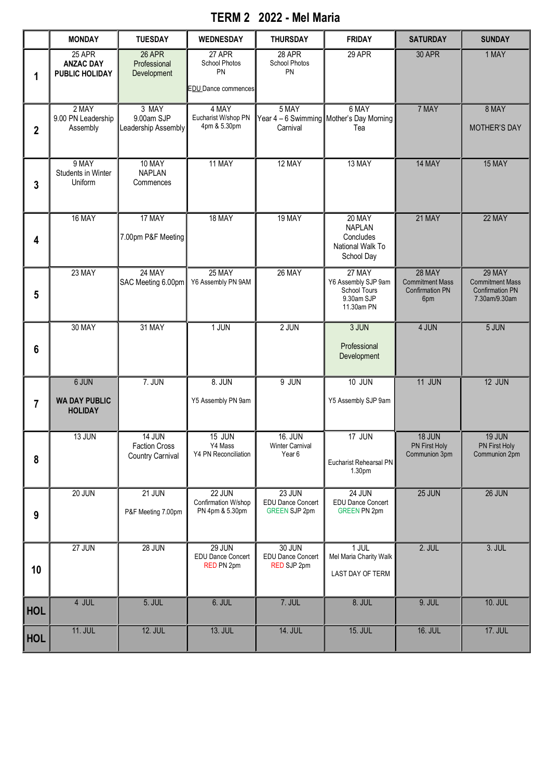## **TERM 2 2022 - Mel Maria**

|                  | <b>MONDAY</b>                                       | <b>TUESDAY</b>                                                   | <b>WEDNESDAY</b>                                        | <b>THURSDAY</b>                                                   | <b>FRIDAY</b>                                                             | <b>SATURDAY</b>                                                          | <b>SUNDAY</b>                                                                      |
|------------------|-----------------------------------------------------|------------------------------------------------------------------|---------------------------------------------------------|-------------------------------------------------------------------|---------------------------------------------------------------------------|--------------------------------------------------------------------------|------------------------------------------------------------------------------------|
| 1                | 25 APR<br><b>ANZAC DAY</b><br><b>PUBLIC HOLIDAY</b> | <b>26 APR</b><br>Professional<br>Development                     | 27 APR<br>School Photos<br>PN<br>EDU Dance commences    | 28 APR<br>School Photos<br>PN                                     | 29 APR                                                                    | <b>30 APR</b>                                                            | 1 MAY                                                                              |
| $\boldsymbol{2}$ | 2 MAY<br>9.00 PN Leadership<br>Assembly             | 3 MAY<br>9.00am SJP<br>Leadership Assembly                       | 4 MAY<br>Eucharist W/shop PN<br>4pm & 5.30pm            | 5 MAY<br>Carnival                                                 | 6 MAY<br>Year 4 - 6 Swimming Mother's Day Morning<br>Tea                  | 7 MAY                                                                    | 8 MAY<br><b>MOTHER'S DAY</b>                                                       |
| 3                | 9 MAY<br>Students in Winter<br>Uniform              | 10 MAY<br><b>NAPLAN</b><br>Commences                             | 11 MAY                                                  | 12 MAY                                                            | 13 MAY                                                                    | 14 MAY                                                                   | 15 MAY                                                                             |
| 4                | 16 MAY                                              | 17 MAY<br>7.00pm P&F Meeting                                     | 18 MAY                                                  | 19 MAY                                                            | 20 MAY<br><b>NAPLAN</b><br>Concludes<br>National Walk To<br>School Day    | 21 MAY                                                                   | 22 MAY                                                                             |
| 5                | 23 MAY                                              | 24 MAY<br>SAC Meeting 6.00pm                                     | 25 MAY<br>Y6 Assembly PN 9AM                            | 26 MAY                                                            | 27 MAY<br>Y6 Assembly SJP 9am<br>School Tours<br>9.30am SJP<br>11.30am PN | <b>28 MAY</b><br><b>Commitment Mass</b><br><b>Confirmation PN</b><br>6pm | <b>29 MAY</b><br><b>Commitment Mass</b><br><b>Confirmation PN</b><br>7.30am/9.30am |
| 6                | 30 MAY                                              | 31 MAY                                                           | 1 JUN                                                   | 2 JUN                                                             | 3 JUN<br>Professional<br>Development                                      | 4 JUN                                                                    | 5 JUN                                                                              |
| 7                | 6 JUN<br><b>WA DAY PUBLIC</b><br><b>HOLIDAY</b>     | <b>7. JUN</b>                                                    | 8. JUN<br>Y5 Assembly PN 9am                            | $9$ JUN                                                           | <b>10 JUN</b><br>Y5 Assembly SJP 9am                                      | 11 JUN                                                                   | 12 JUN                                                                             |
| 8                | <b>13 JUN</b>                                       | <b>14 JUN</b><br><b>Faction Cross</b><br><b>Country Carnival</b> | <b>15 JUN</b><br>Y4 Mass<br>Y4 PN Reconciliation        | <b>16. JUN</b><br><b>Winter Carnival</b><br>Year <sub>6</sub>     | 17 JUN<br>Eucharist Rehearsal PN<br>1.30pm                                | 18 JUN<br><b>PN First Holy</b><br>Communion 3pm                          | <b>19 JUN</b><br><b>PN First Holy</b><br>Communion 2pm                             |
| $\boldsymbol{9}$ | 20 JUN                                              | $21$ JUN<br>P&F Meeting 7.00pm                                   | 22 JUN<br>Confirmation W/shop<br>PN 4pm & 5.30pm        | <b>23 JUN</b><br><b>EDU Dance Concert</b><br><b>GREEN SJP 2pm</b> | <b>24 JUN</b><br><b>EDU Dance Concert</b><br><b>GREEN PN 2pm</b>          | 25 JUN                                                                   | 26 JUN                                                                             |
| 10               | 27 JUN                                              | <b>28 JUN</b>                                                    | <b>29 JUN</b><br><b>EDU Dance Concert</b><br>RED PN 2pm | 30 JUN<br><b>EDU Dance Concert</b><br>RED SJP 2pm                 | $1$ JUL<br>Mel Maria Charity Walk<br>LAST DAY OF TERM                     | 2. JUL                                                                   | 3. JUL                                                                             |
| <b>HOL</b>       | 4 JUL                                               | 5. JUL                                                           | 6. JUL                                                  | 7. JUL                                                            | 8. JUL                                                                    | 9. JUL                                                                   | <b>10. JUL</b>                                                                     |
| <b>HOL</b>       | <b>11. JUL</b>                                      | <b>12. JUL</b>                                                   | <b>13. JUL</b>                                          | <b>14. JUL</b>                                                    | <b>15. JUL</b>                                                            | <b>16. JUL</b>                                                           | <b>17. JUL</b>                                                                     |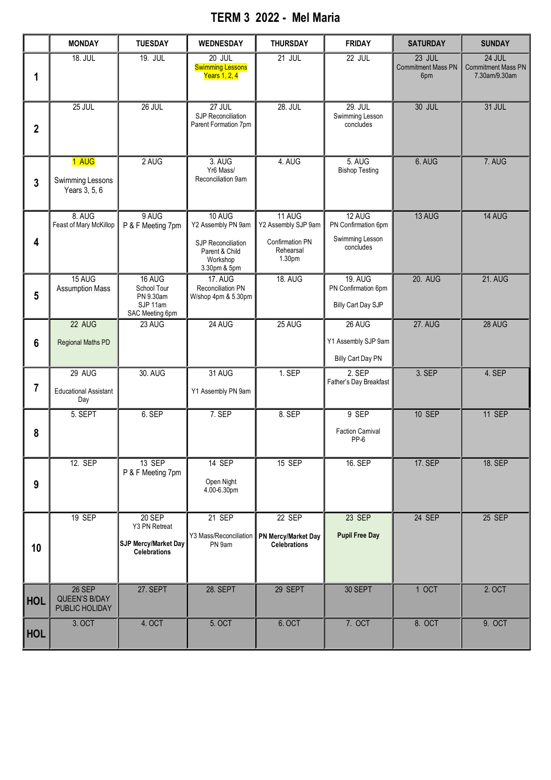## **TERM 3 2022 - Mel Maria**

|                         | <b>MONDAY</b>                                    | <b>TUESDAY</b>                                                         | WEDNESDAY                                                                                        | <b>THURSDAY</b>                                                         | <b>FRIDAY</b>                                                 | <b>SATURDAY</b>                            | <b>SUNDAY</b>                                        |
|-------------------------|--------------------------------------------------|------------------------------------------------------------------------|--------------------------------------------------------------------------------------------------|-------------------------------------------------------------------------|---------------------------------------------------------------|--------------------------------------------|------------------------------------------------------|
| 1                       | <b>18. JUL</b>                                   | <b>19. JUL</b>                                                         | $20$ JUL<br><b>Swimming Lessons</b><br>Years 1, 2, 4                                             | $21$ JUL                                                                | 22 JUL                                                        | 23 JUL<br><b>Commitment Mass PN</b><br>6pm | 24 JUL<br><b>Commitment Mass PN</b><br>7.30am/9.30am |
| $\overline{\mathbf{2}}$ | 25 JUL                                           | 26 JUL                                                                 | 27 JUL<br>SJP Reconciliation<br>Parent Formation 7pm                                             | <b>28. JUL</b>                                                          | 29. JUL<br>Swimming Lesson<br>concludes                       | <b>30 JUL</b>                              | 31 JUL                                               |
| $\mathbf{3}$            | 1 AUG<br>Swimming Lessons<br>Years 3, 5, 6       | 2 AUG                                                                  | 3. AUG<br>Yr <sub>6</sub> Mass/<br>Reconciliation 9am                                            | 4. AUG                                                                  | 5. AUG<br><b>Bishop Testing</b>                               | 6. AUG                                     | 7. AUG                                               |
| 4                       | 8. AUG<br>Feast of Mary McKillop                 | 9 AUG<br>P & F Meeting 7pm                                             | 10 AUG<br>Y2 Assembly PN 9am<br>SJP Reconciliation<br>Parent & Child<br>Workshop<br>3.30pm & 5pm | 11 AUG<br>Y2 Assembly SJP 9am<br>Confirmation PN<br>Rehearsal<br>1.30pm | 12 AUG<br>PN Confirmation 6pm<br>Swimming Lesson<br>concludes | 13 AUG                                     | 14 AUG                                               |
| $5\phantom{1}$          | 15 AUG<br><b>Assumption Mass</b>                 | 16 AUG<br>School Tour<br>PN 9.30am<br>SJP 11am<br>SAC Meeting 6pm      | <b>17. AUG</b><br>Reconciliation PN<br>W/shop 4pm & 5.30pm                                       | <b>18. AUG</b>                                                          | <b>19. AUG</b><br>PN Confirmation 6pm<br>Billy Cart Day SJP   | <b>20. AUG</b>                             | <b>21. AUG</b>                                       |
| $6\phantom{1}6$         | 22 AUG<br><b>Regional Maths PD</b>               | 23 AUG                                                                 | 24 AUG                                                                                           | 25 AUG                                                                  | 26 AUG<br>Y1 Assembly SJP 9am<br><b>Billy Cart Day PN</b>     | <b>27. AUG</b>                             | 28 AUG                                               |
| $\overline{7}$          | 29 AUG<br><b>Educational Assistant</b><br>Day    | 30. AUG                                                                | 31 AUG<br>Y1 Assembly PN 9am                                                                     | 1. SEP                                                                  | $2.$ SEP<br>Father's Day Breakfast                            | 3. SEP                                     | 4. SEP                                               |
| 8                       | 5. SEPT                                          | 6. SEP                                                                 | 7. SEP                                                                                           | 8. SEP                                                                  | 9 SEP<br><b>Faction Carnival</b><br>PP-6                      | <b>10 SEP</b>                              | 11 SEP                                               |
| 9                       | 12. SEP                                          | 13 SEP<br>P & F Meeting 7pm                                            | 14 SEP<br>Open Night<br>4.00-6.30pm                                                              | 15 SEP                                                                  | 16. SEP                                                       | 17. SEP                                    | 18. SEP                                              |
| 10                      | 19 SEP                                           | 20 SEP<br>Y3 PN Retreat<br>SJP Mercy/Market Day<br><b>Celebrations</b> | 21 SEP<br>Y3 Mass/Reconciliation<br>PN 9am                                                       | 22 SEP<br>PN Mercy/Market Day<br><b>Celebrations</b>                    | 23 SEP<br><b>Pupil Free Day</b>                               | 24 SEP                                     | 25 SEP                                               |
| <b>HOL</b>              | <b>26 SEP</b><br>QUEEN'S B/DAY<br>PUBLIC HOLIDAY | 27. SEPT                                                               | <b>28. SEPT</b>                                                                                  | 29 SEPT                                                                 | 30 SEPT                                                       | 1 OCT                                      | 2. OCT                                               |
| <b>HOL</b>              | 3. OCT                                           | 4. OCT                                                                 | 5. OCT                                                                                           | 6. OCT                                                                  | 7. OCT                                                        | 8. OCT                                     | 9. OCT                                               |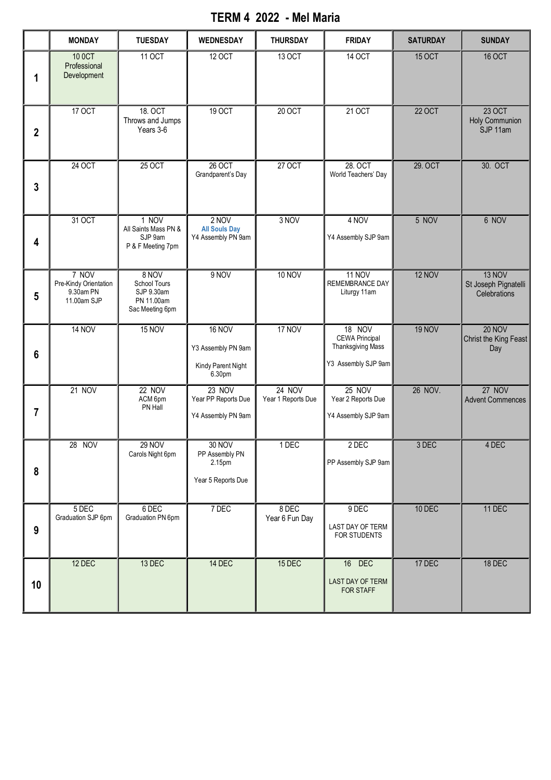## **TERM 4 2022 - Mel Maria**

|              | <b>MONDAY</b>                                              | <b>TUESDAY</b>                                                       | <b>WEDNESDAY</b>                                                    | <b>THURSDAY</b>                     | <b>FRIDAY</b>                                                               | <b>SATURDAY</b> | <b>SUNDAY</b>                                  |
|--------------|------------------------------------------------------------|----------------------------------------------------------------------|---------------------------------------------------------------------|-------------------------------------|-----------------------------------------------------------------------------|-----------------|------------------------------------------------|
| 1            | 10 0CT<br>Professional<br>Development                      | 11 OCT                                                               | 12 OCT                                                              | 13 OCT                              | 14 OCT                                                                      | <b>15 OCT</b>   | <b>16 OCT</b>                                  |
| $\mathbf{2}$ | 17 OCT                                                     | 18. OCT<br>Throws and Jumps<br>Years 3-6                             | 19 OCT                                                              | 20 OCT                              | 21 OCT                                                                      | <b>22 OCT</b>   | 23 OCT<br>Holy Communion<br>SJP 11am           |
| 3            | 24 OCT                                                     | 25 OCT                                                               | 26 OCT<br>Grandparent's Day                                         | 27 OCT                              | 28. OCT<br>World Teachers' Day                                              | 29. OCT         | 30. OCT                                        |
| 4            | 31 OCT                                                     | 1 NOV<br>All Saints Mass PN &<br>SJP 9am<br>P & F Meeting 7pm        | 2 NOV<br><b>All Souls Day</b><br>Y4 Assembly PN 9am                 | 3 NOV                               | 4 NOV<br>Y4 Assembly SJP 9am                                                | 5 NOV           | 6 NOV                                          |
| 5            | 7 NOV<br>Pre-Kindy Orientation<br>9.30am PN<br>11.00am SJP | 8 NOV<br>School Tours<br>SJP 9.30am<br>PN 11.00am<br>Sac Meeting 6pm | 9 NOV                                                               | <b>10 NOV</b>                       | 11 NOV<br>REMEMBRANCE DAY<br>Liturgy 11am                                   | 12 NOV          | 13 NOV<br>St Joseph Pignatelli<br>Celebrations |
| 6            | <b>14 NOV</b>                                              | <b>15 NOV</b>                                                        | <b>16 NOV</b><br>Y3 Assembly PN 9am<br>Kindy Parent Night<br>6.30pm | 17 NOV                              | 18 NOV<br><b>CEWA Principal</b><br>Thanksgiving Mass<br>Y3 Assembly SJP 9am | <b>19 NOV</b>   | <b>20 NOV</b><br>Christ the King Feast<br>Day  |
| 7            | <b>21 NOV</b>                                              | <b>22 NOV</b><br>ACM 6pm<br>PN Hall                                  | 23 NOV<br>Year PP Reports Due<br>Y4 Assembly PN 9am                 | <b>24 NOV</b><br>Year 1 Reports Due | 25 NOV<br>Year 2 Reports Due<br>Y4 Assembly SJP 9am                         | 26 NOV.         | <b>27 NOV</b><br><b>Advent Commences</b>       |
| 8            | 28 NOV                                                     | <b>29 NOV</b><br>Carols Night 6pm                                    | 30 NOV<br>PP Assembly PN<br>2.15pm<br>Year 5 Reports Due            | 1 DEC                               | 2 DEC<br>PP Assembly SJP 9am                                                | 3 DEC           | 4 DEC                                          |
| 9            | 5 DEC<br>Graduation SJP 6pm                                | 6 DEC<br>Graduation PN 6pm                                           | 7 DEC                                                               | 8 DEC<br>Year 6 Fun Day             | 9 DEC<br>LAST DAY OF TERM<br>FOR STUDENTS                                   | 10 DEC          | 11 DEC                                         |
| 10           | 12 DEC                                                     | 13 DEC                                                               | 14 DEC                                                              | 15 DEC                              | 16 DEC<br>LAST DAY OF TERM<br>FOR STAFF                                     | 17 DEC          | 18 DEC                                         |